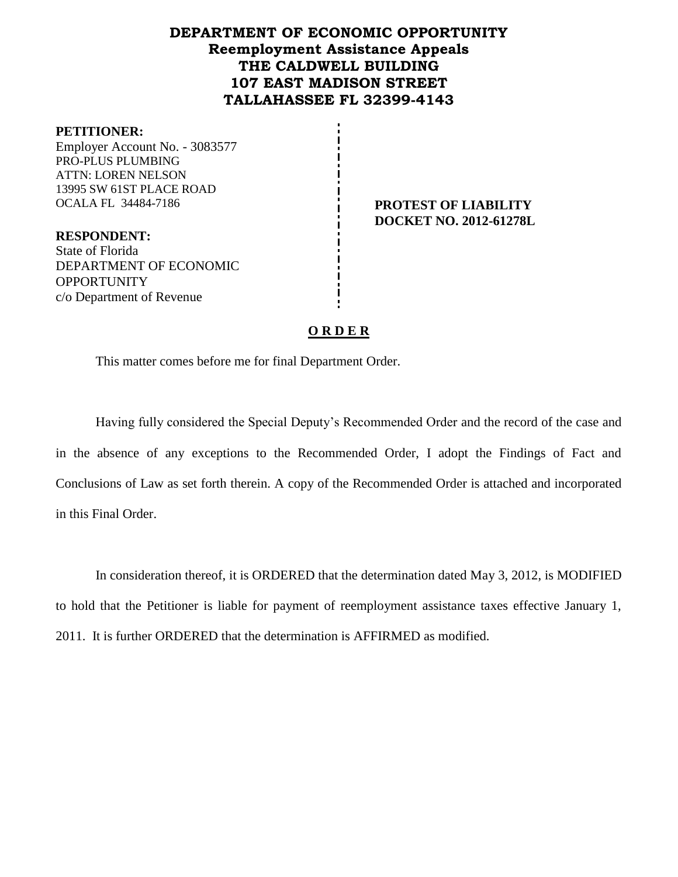# **DEPARTMENT OF ECONOMIC OPPORTUNITY Reemployment Assistance Appeals THE CALDWELL BUILDING 107 EAST MADISON STREET TALLAHASSEE FL 32399-4143**

#### **PETITIONER:**

Employer Account No. - 3083577 PRO-PLUS PLUMBING ATTN: LOREN NELSON 13995 SW 61ST PLACE ROAD OCALA FL 34484-7186 **PROTEST OF LIABILITY** 

**DOCKET NO. 2012-61278L**

**RESPONDENT:** State of Florida DEPARTMENT OF ECONOMIC **OPPORTUNITY** c/o Department of Revenue

#### **O R D E R**

This matter comes before me for final Department Order.

Having fully considered the Special Deputy's Recommended Order and the record of the case and in the absence of any exceptions to the Recommended Order, I adopt the Findings of Fact and Conclusions of Law as set forth therein. A copy of the Recommended Order is attached and incorporated in this Final Order.

In consideration thereof, it is ORDERED that the determination dated May 3, 2012, is MODIFIED to hold that the Petitioner is liable for payment of reemployment assistance taxes effective January 1, 2011. It is further ORDERED that the determination is AFFIRMED as modified.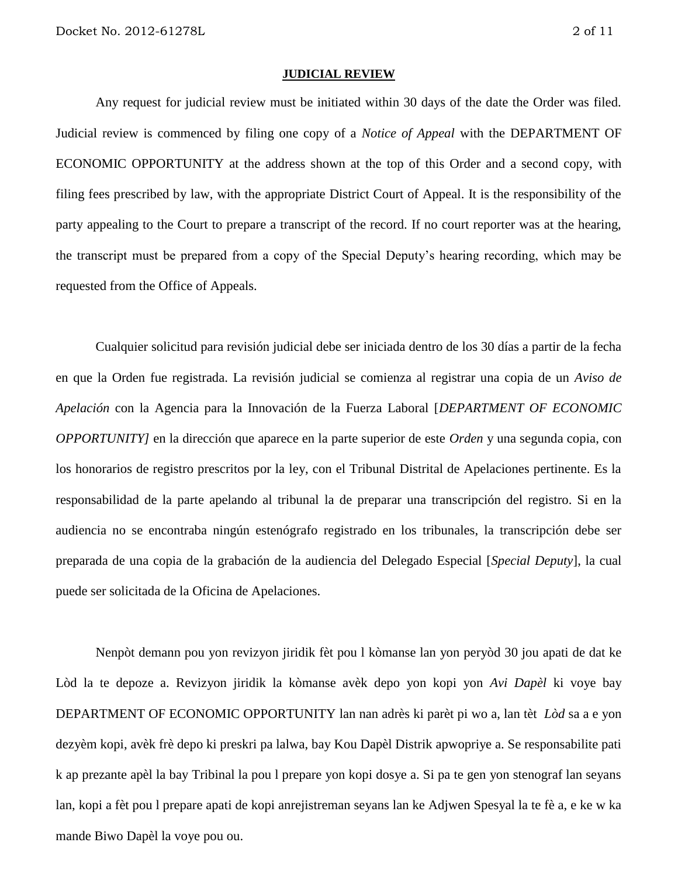#### **JUDICIAL REVIEW**

Any request for judicial review must be initiated within 30 days of the date the Order was filed. Judicial review is commenced by filing one copy of a *Notice of Appeal* with the DEPARTMENT OF ECONOMIC OPPORTUNITY at the address shown at the top of this Order and a second copy, with filing fees prescribed by law, with the appropriate District Court of Appeal. It is the responsibility of the party appealing to the Court to prepare a transcript of the record. If no court reporter was at the hearing, the transcript must be prepared from a copy of the Special Deputy's hearing recording, which may be requested from the Office of Appeals.

Cualquier solicitud para revisión judicial debe ser iniciada dentro de los 30 días a partir de la fecha en que la Orden fue registrada. La revisión judicial se comienza al registrar una copia de un *Aviso de Apelación* con la Agencia para la Innovación de la Fuerza Laboral [*DEPARTMENT OF ECONOMIC OPPORTUNITY]* en la dirección que aparece en la parte superior de este *Orden* y una segunda copia, con los honorarios de registro prescritos por la ley, con el Tribunal Distrital de Apelaciones pertinente. Es la responsabilidad de la parte apelando al tribunal la de preparar una transcripción del registro. Si en la audiencia no se encontraba ningún estenógrafo registrado en los tribunales, la transcripción debe ser preparada de una copia de la grabación de la audiencia del Delegado Especial [*Special Deputy*], la cual puede ser solicitada de la Oficina de Apelaciones.

Nenpòt demann pou yon revizyon jiridik fèt pou l kòmanse lan yon peryòd 30 jou apati de dat ke Lòd la te depoze a. Revizyon jiridik la kòmanse avèk depo yon kopi yon *Avi Dapèl* ki voye bay DEPARTMENT OF ECONOMIC OPPORTUNITY lan nan adrès ki parèt pi wo a, lan tèt *Lòd* sa a e yon dezyèm kopi, avèk frè depo ki preskri pa lalwa, bay Kou Dapèl Distrik apwopriye a. Se responsabilite pati k ap prezante apèl la bay Tribinal la pou l prepare yon kopi dosye a. Si pa te gen yon stenograf lan seyans lan, kopi a fèt pou l prepare apati de kopi anrejistreman seyans lan ke Adjwen Spesyal la te fè a, e ke w ka mande Biwo Dapèl la voye pou ou.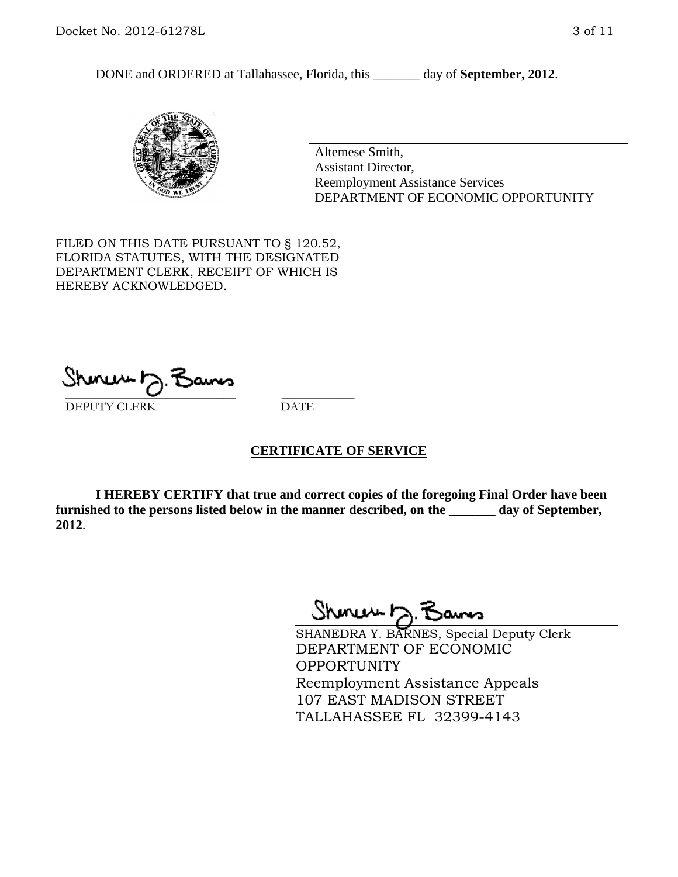DONE and ORDERED at Tallahassee, Florida, this \_\_\_\_\_\_\_ day of **September, 2012**.



Altemese Smith, Assistant Director, Reemployment Assistance Services DEPARTMENT OF ECONOMIC OPPORTUNITY

FILED ON THIS DATE PURSUANT TO § 120.52, FLORIDA STATUTES, WITH THE DESIGNATED DEPARTMENT CLERK, RECEIPT OF WHICH IS HEREBY ACKNOWLEDGED.

\_\_\_\_\_\_\_\_\_\_\_\_\_\_\_\_\_\_\_\_\_\_\_\_\_\_\_\_ \_\_\_\_\_\_\_\_\_\_\_\_ DEPUTY CLERK DATE

#### **CERTIFICATE OF SERVICE**

**I HEREBY CERTIFY that true and correct copies of the foregoing Final Order have been furnished to the persons listed below in the manner described, on the \_\_\_\_\_\_\_ day of September, 2012**.

Shonew b

SHANEDRA Y. BARNES, Special Deputy Clerk DEPARTMENT OF ECONOMIC **OPPORTUNITY** Reemployment Assistance Appeals 107 EAST MADISON STREET TALLAHASSEE FL 32399-4143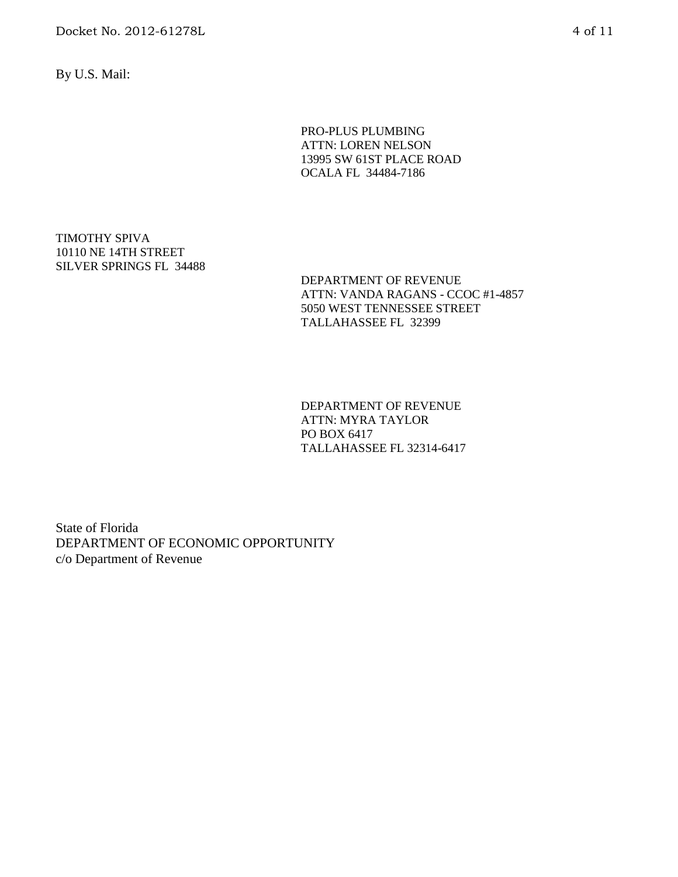Docket No. 2012-61278L 4 of 11

By U.S. Mail:

PRO-PLUS PLUMBING ATTN: LOREN NELSON 13995 SW 61ST PLACE ROAD OCALA FL 34484-7186

TIMOTHY SPIVA 10110 NE 14TH STREET SILVER SPRINGS FL 34488

> DEPARTMENT OF REVENUE ATTN: VANDA RAGANS - CCOC #1-4857 5050 WEST TENNESSEE STREET TALLAHASSEE FL 32399

DEPARTMENT OF REVENUE ATTN: MYRA TAYLOR PO BOX 6417 TALLAHASSEE FL 32314-6417

State of Florida DEPARTMENT OF ECONOMIC OPPORTUNITY c/o Department of Revenue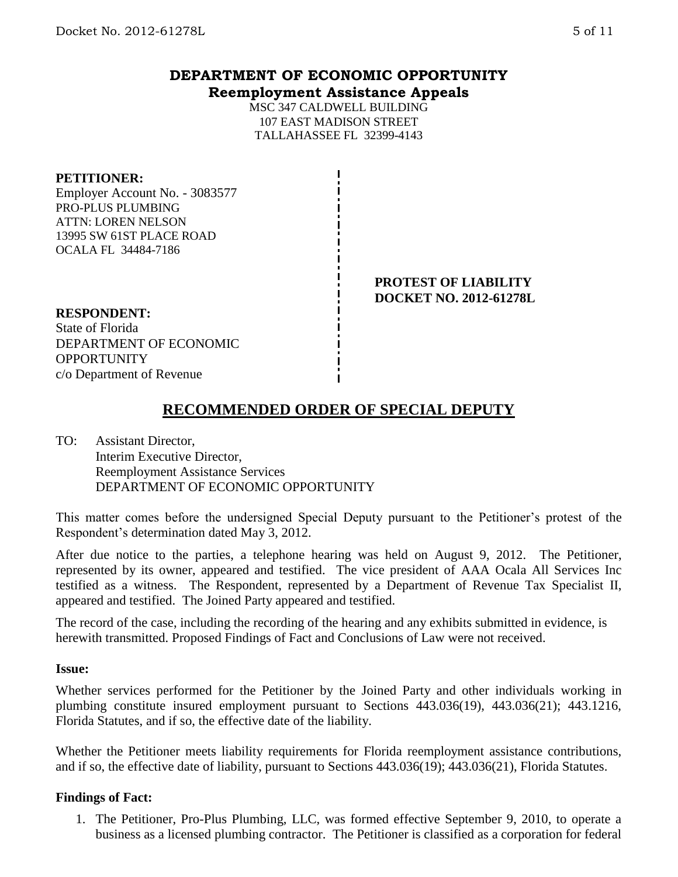# **DEPARTMENT OF ECONOMIC OPPORTUNITY Reemployment Assistance Appeals**

MSC 347 CALDWELL BUILDING 107 EAST MADISON STREET TALLAHASSEE FL 32399-4143

#### **PETITIONER:**

Employer Account No. - 3083577 PRO-PLUS PLUMBING ATTN: LOREN NELSON 13995 SW 61ST PLACE ROAD OCALA FL 34484-7186

> **PROTEST OF LIABILITY DOCKET NO. 2012-61278L**

### **RESPONDENT:**

State of Florida DEPARTMENT OF ECONOMIC **OPPORTUNITY** c/o Department of Revenue

# **RECOMMENDED ORDER OF SPECIAL DEPUTY**

TO: Assistant Director, Interim Executive Director, Reemployment Assistance Services DEPARTMENT OF ECONOMIC OPPORTUNITY

This matter comes before the undersigned Special Deputy pursuant to the Petitioner's protest of the Respondent's determination dated May 3, 2012.

After due notice to the parties, a telephone hearing was held on August 9, 2012. The Petitioner, represented by its owner, appeared and testified. The vice president of AAA Ocala All Services Inc testified as a witness. The Respondent, represented by a Department of Revenue Tax Specialist II, appeared and testified. The Joined Party appeared and testified.

The record of the case, including the recording of the hearing and any exhibits submitted in evidence, is herewith transmitted. Proposed Findings of Fact and Conclusions of Law were not received.

#### **Issue:**

Whether services performed for the Petitioner by the Joined Party and other individuals working in plumbing constitute insured employment pursuant to Sections 443.036(19), 443.036(21); 443.1216, Florida Statutes, and if so, the effective date of the liability.

Whether the Petitioner meets liability requirements for Florida reemployment assistance contributions, and if so, the effective date of liability, pursuant to Sections 443.036(19); 443.036(21), Florida Statutes.

## **Findings of Fact:**

1. The Petitioner, Pro-Plus Plumbing, LLC, was formed effective September 9, 2010, to operate a business as a licensed plumbing contractor. The Petitioner is classified as a corporation for federal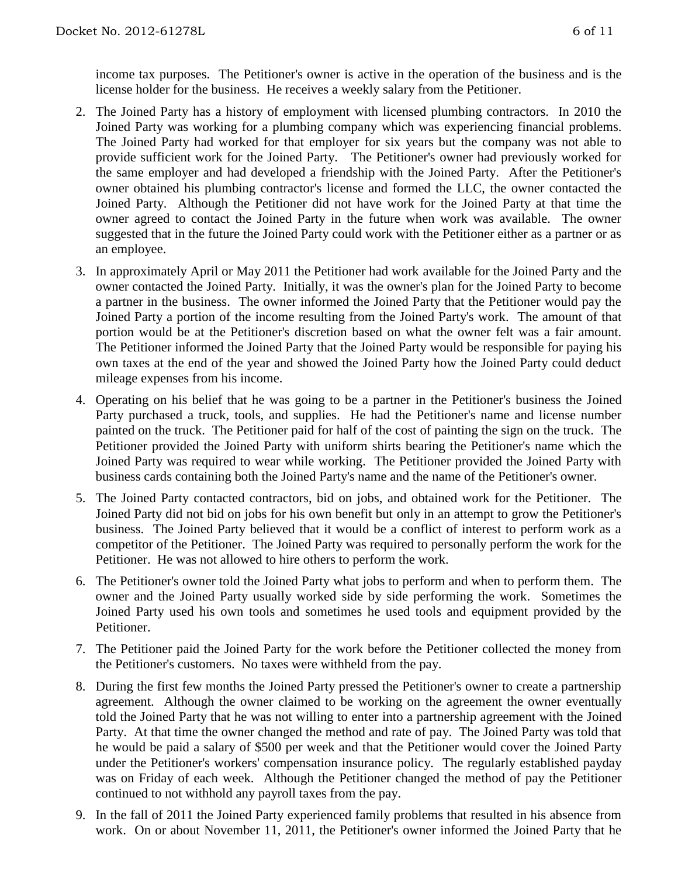income tax purposes. The Petitioner's owner is active in the operation of the business and is the license holder for the business. He receives a weekly salary from the Petitioner.

- 2. The Joined Party has a history of employment with licensed plumbing contractors. In 2010 the Joined Party was working for a plumbing company which was experiencing financial problems. The Joined Party had worked for that employer for six years but the company was not able to provide sufficient work for the Joined Party. The Petitioner's owner had previously worked for the same employer and had developed a friendship with the Joined Party. After the Petitioner's owner obtained his plumbing contractor's license and formed the LLC, the owner contacted the Joined Party. Although the Petitioner did not have work for the Joined Party at that time the owner agreed to contact the Joined Party in the future when work was available. The owner suggested that in the future the Joined Party could work with the Petitioner either as a partner or as an employee.
- 3. In approximately April or May 2011 the Petitioner had work available for the Joined Party and the owner contacted the Joined Party. Initially, it was the owner's plan for the Joined Party to become a partner in the business. The owner informed the Joined Party that the Petitioner would pay the Joined Party a portion of the income resulting from the Joined Party's work. The amount of that portion would be at the Petitioner's discretion based on what the owner felt was a fair amount. The Petitioner informed the Joined Party that the Joined Party would be responsible for paying his own taxes at the end of the year and showed the Joined Party how the Joined Party could deduct mileage expenses from his income.
- 4. Operating on his belief that he was going to be a partner in the Petitioner's business the Joined Party purchased a truck, tools, and supplies. He had the Petitioner's name and license number painted on the truck. The Petitioner paid for half of the cost of painting the sign on the truck. The Petitioner provided the Joined Party with uniform shirts bearing the Petitioner's name which the Joined Party was required to wear while working. The Petitioner provided the Joined Party with business cards containing both the Joined Party's name and the name of the Petitioner's owner.
- 5. The Joined Party contacted contractors, bid on jobs, and obtained work for the Petitioner. The Joined Party did not bid on jobs for his own benefit but only in an attempt to grow the Petitioner's business. The Joined Party believed that it would be a conflict of interest to perform work as a competitor of the Petitioner. The Joined Party was required to personally perform the work for the Petitioner. He was not allowed to hire others to perform the work.
- 6. The Petitioner's owner told the Joined Party what jobs to perform and when to perform them. The owner and the Joined Party usually worked side by side performing the work. Sometimes the Joined Party used his own tools and sometimes he used tools and equipment provided by the Petitioner.
- 7. The Petitioner paid the Joined Party for the work before the Petitioner collected the money from the Petitioner's customers. No taxes were withheld from the pay.
- 8. During the first few months the Joined Party pressed the Petitioner's owner to create a partnership agreement. Although the owner claimed to be working on the agreement the owner eventually told the Joined Party that he was not willing to enter into a partnership agreement with the Joined Party. At that time the owner changed the method and rate of pay. The Joined Party was told that he would be paid a salary of \$500 per week and that the Petitioner would cover the Joined Party under the Petitioner's workers' compensation insurance policy. The regularly established payday was on Friday of each week. Although the Petitioner changed the method of pay the Petitioner continued to not withhold any payroll taxes from the pay.
- 9. In the fall of 2011 the Joined Party experienced family problems that resulted in his absence from work. On or about November 11, 2011, the Petitioner's owner informed the Joined Party that he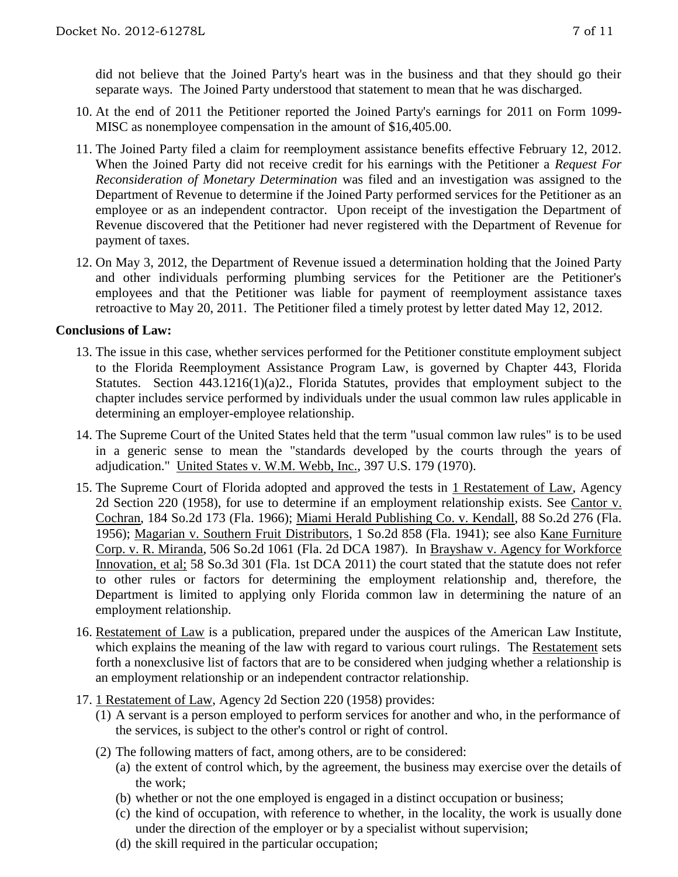did not believe that the Joined Party's heart was in the business and that they should go their separate ways. The Joined Party understood that statement to mean that he was discharged.

- 10. At the end of 2011 the Petitioner reported the Joined Party's earnings for 2011 on Form 1099- MISC as nonemployee compensation in the amount of \$16,405.00.
- 11. The Joined Party filed a claim for reemployment assistance benefits effective February 12, 2012. When the Joined Party did not receive credit for his earnings with the Petitioner a *Request For Reconsideration of Monetary Determination* was filed and an investigation was assigned to the Department of Revenue to determine if the Joined Party performed services for the Petitioner as an employee or as an independent contractor. Upon receipt of the investigation the Department of Revenue discovered that the Petitioner had never registered with the Department of Revenue for payment of taxes.
- 12. On May 3, 2012, the Department of Revenue issued a determination holding that the Joined Party and other individuals performing plumbing services for the Petitioner are the Petitioner's employees and that the Petitioner was liable for payment of reemployment assistance taxes retroactive to May 20, 2011. The Petitioner filed a timely protest by letter dated May 12, 2012.

### **Conclusions of Law:**

- 13. The issue in this case, whether services performed for the Petitioner constitute employment subject to the Florida Reemployment Assistance Program Law, is governed by Chapter 443, Florida Statutes. Section 443.1216(1)(a)2., Florida Statutes, provides that employment subject to the chapter includes service performed by individuals under the usual common law rules applicable in determining an employer-employee relationship.
- 14. The Supreme Court of the United States held that the term "usual common law rules" is to be used in a generic sense to mean the "standards developed by the courts through the years of adjudication." United States v. W.M. Webb, Inc., 397 U.S. 179 (1970).
- 15. The Supreme Court of Florida adopted and approved the tests in 1 Restatement of Law, Agency 2d Section 220 (1958), for use to determine if an employment relationship exists. See Cantor v. Cochran, 184 So.2d 173 (Fla. 1966); Miami Herald Publishing Co. v. Kendall, 88 So.2d 276 (Fla. 1956); Magarian v. Southern Fruit Distributors, 1 So.2d 858 (Fla. 1941); see also Kane Furniture Corp. v. R. Miranda, 506 So.2d 1061 (Fla. 2d DCA 1987). In Brayshaw v. Agency for Workforce Innovation, et al; 58 So.3d 301 (Fla. 1st DCA 2011) the court stated that the statute does not refer to other rules or factors for determining the employment relationship and, therefore, the Department is limited to applying only Florida common law in determining the nature of an employment relationship.
- 16. Restatement of Law is a publication, prepared under the auspices of the American Law Institute, which explains the meaning of the law with regard to various court rulings. The Restatement sets forth a nonexclusive list of factors that are to be considered when judging whether a relationship is an employment relationship or an independent contractor relationship.
- 17. 1 Restatement of Law, Agency 2d Section 220 (1958) provides:
	- (1) A servant is a person employed to perform services for another and who, in the performance of the services, is subject to the other's control or right of control.
	- (2) The following matters of fact, among others, are to be considered:
		- (a) the extent of control which, by the agreement, the business may exercise over the details of the work;
		- (b) whether or not the one employed is engaged in a distinct occupation or business;
		- (c) the kind of occupation, with reference to whether, in the locality, the work is usually done under the direction of the employer or by a specialist without supervision;
		- (d) the skill required in the particular occupation;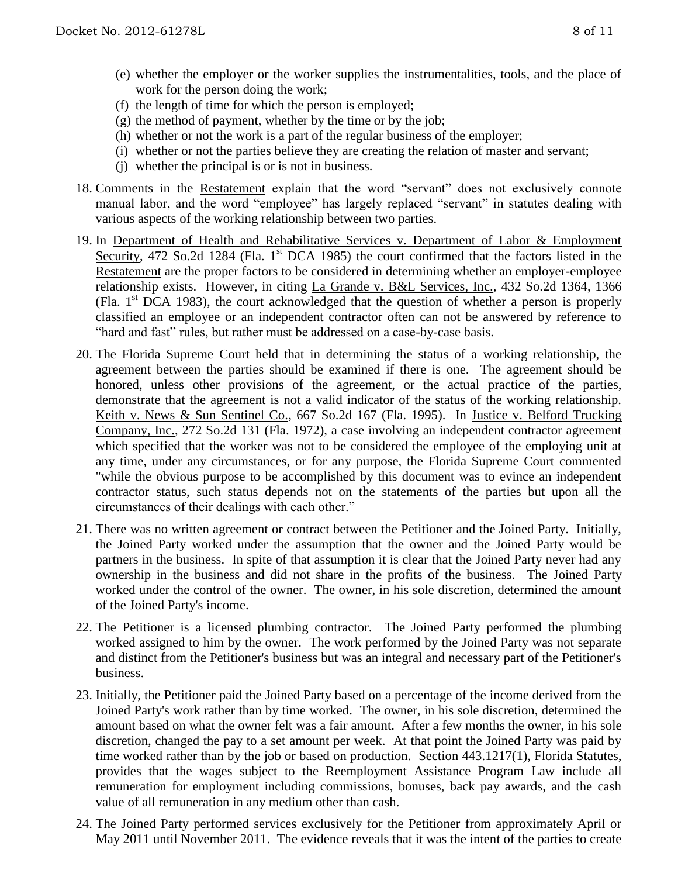- (e) whether the employer or the worker supplies the instrumentalities, tools, and the place of work for the person doing the work;
- (f) the length of time for which the person is employed;
- $(g)$  the method of payment, whether by the time or by the job;
- (h) whether or not the work is a part of the regular business of the employer;
- (i) whether or not the parties believe they are creating the relation of master and servant;
- (j) whether the principal is or is not in business.
- 18. Comments in the Restatement explain that the word "servant" does not exclusively connote manual labor, and the word "employee" has largely replaced "servant" in statutes dealing with various aspects of the working relationship between two parties.
- 19. In Department of Health and Rehabilitative Services v. Department of Labor & Employment Security, 472 So.2d 1284 (Fla. 1<sup>st</sup> DCA 1985) the court confirmed that the factors listed in the Restatement are the proper factors to be considered in determining whether an employer-employee relationship exists. However, in citing La Grande v. B&L Services, Inc., 432 So.2d 1364, 1366 (Fla.  $1<sup>st</sup>$  DCA 1983), the court acknowledged that the question of whether a person is properly classified an employee or an independent contractor often can not be answered by reference to "hard and fast" rules, but rather must be addressed on a case-by-case basis.
- 20. The Florida Supreme Court held that in determining the status of a working relationship, the agreement between the parties should be examined if there is one. The agreement should be honored, unless other provisions of the agreement, or the actual practice of the parties, demonstrate that the agreement is not a valid indicator of the status of the working relationship. Keith v. News & Sun Sentinel Co., 667 So.2d 167 (Fla. 1995). In Justice v. Belford Trucking Company, Inc., 272 So.2d 131 (Fla. 1972), a case involving an independent contractor agreement which specified that the worker was not to be considered the employee of the employing unit at any time, under any circumstances, or for any purpose, the Florida Supreme Court commented "while the obvious purpose to be accomplished by this document was to evince an independent contractor status, such status depends not on the statements of the parties but upon all the circumstances of their dealings with each other."
- 21. There was no written agreement or contract between the Petitioner and the Joined Party. Initially, the Joined Party worked under the assumption that the owner and the Joined Party would be partners in the business. In spite of that assumption it is clear that the Joined Party never had any ownership in the business and did not share in the profits of the business. The Joined Party worked under the control of the owner. The owner, in his sole discretion, determined the amount of the Joined Party's income.
- 22. The Petitioner is a licensed plumbing contractor. The Joined Party performed the plumbing worked assigned to him by the owner. The work performed by the Joined Party was not separate and distinct from the Petitioner's business but was an integral and necessary part of the Petitioner's business.
- 23. Initially, the Petitioner paid the Joined Party based on a percentage of the income derived from the Joined Party's work rather than by time worked. The owner, in his sole discretion, determined the amount based on what the owner felt was a fair amount. After a few months the owner, in his sole discretion, changed the pay to a set amount per week. At that point the Joined Party was paid by time worked rather than by the job or based on production. Section 443.1217(1), Florida Statutes, provides that the wages subject to the Reemployment Assistance Program Law include all remuneration for employment including commissions, bonuses, back pay awards, and the cash value of all remuneration in any medium other than cash.
- 24. The Joined Party performed services exclusively for the Petitioner from approximately April or May 2011 until November 2011. The evidence reveals that it was the intent of the parties to create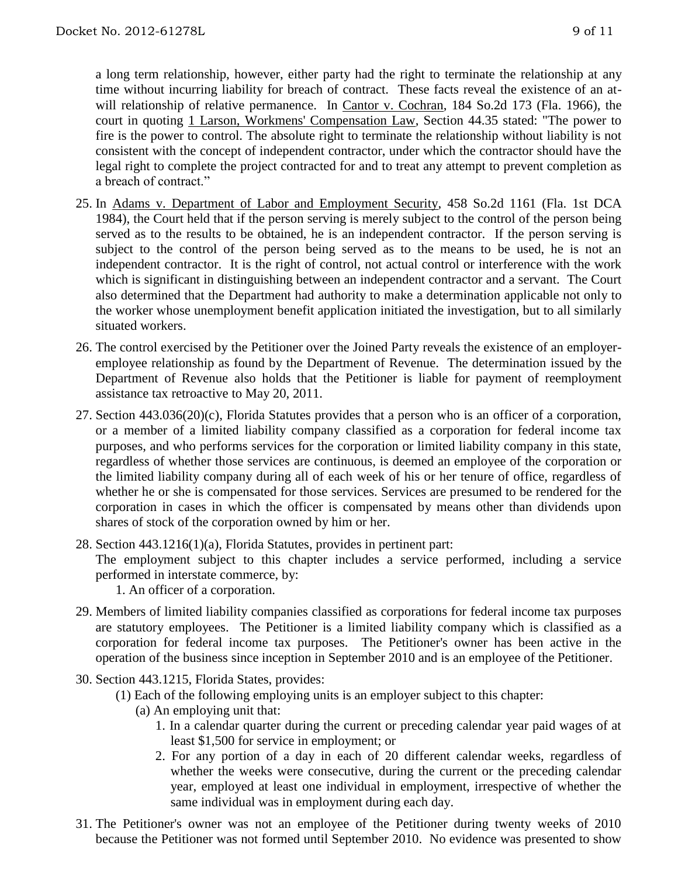a long term relationship, however, either party had the right to terminate the relationship at any time without incurring liability for breach of contract. These facts reveal the existence of an atwill relationship of relative permanence. In Cantor v. Cochran, 184 So.2d 173 (Fla. 1966), the court in quoting 1 Larson, Workmens' Compensation Law, Section 44.35 stated: "The power to fire is the power to control. The absolute right to terminate the relationship without liability is not consistent with the concept of independent contractor, under which the contractor should have the legal right to complete the project contracted for and to treat any attempt to prevent completion as a breach of contract."

- 25. In Adams v. Department of Labor and Employment Security, 458 So.2d 1161 (Fla. 1st DCA 1984), the Court held that if the person serving is merely subject to the control of the person being served as to the results to be obtained, he is an independent contractor. If the person serving is subject to the control of the person being served as to the means to be used, he is not an independent contractor. It is the right of control, not actual control or interference with the work which is significant in distinguishing between an independent contractor and a servant. The Court also determined that the Department had authority to make a determination applicable not only to the worker whose unemployment benefit application initiated the investigation, but to all similarly situated workers.
- 26. The control exercised by the Petitioner over the Joined Party reveals the existence of an employeremployee relationship as found by the Department of Revenue. The determination issued by the Department of Revenue also holds that the Petitioner is liable for payment of reemployment assistance tax retroactive to May 20, 2011.
- 27. Section 443.036(20)(c), Florida Statutes provides that a person who is an officer of a corporation, or a member of a limited liability company classified as a corporation for federal income tax purposes, and who performs services for the corporation or limited liability company in this state, regardless of whether those services are continuous, is deemed an employee of the corporation or the limited liability company during all of each week of his or her tenure of office, regardless of whether he or she is compensated for those services. Services are presumed to be rendered for the corporation in cases in which the officer is compensated by means other than dividends upon shares of stock of the corporation owned by him or her.
- 28. Section 443.1216(1)(a), Florida Statutes, provides in pertinent part: The employment subject to this chapter includes a service performed, including a service performed in interstate commerce, by: 1. An officer of a corporation.
- 29. Members of limited liability companies classified as corporations for federal income tax purposes are statutory employees. The Petitioner is a limited liability company which is classified as a corporation for federal income tax purposes. The Petitioner's owner has been active in the operation of the business since inception in September 2010 and is an employee of the Petitioner.
- 30. Section 443.1215, Florida States, provides:
	- (1) Each of the following employing units is an employer subject to this chapter:
		- (a) An employing unit that:
			- 1. In a calendar quarter during the current or preceding calendar year paid wages of at least \$1,500 for service in employment; or
			- 2. For any portion of a day in each of 20 different calendar weeks, regardless of whether the weeks were consecutive, during the current or the preceding calendar year, employed at least one individual in employment, irrespective of whether the same individual was in employment during each day.
- 31. The Petitioner's owner was not an employee of the Petitioner during twenty weeks of 2010 because the Petitioner was not formed until September 2010. No evidence was presented to show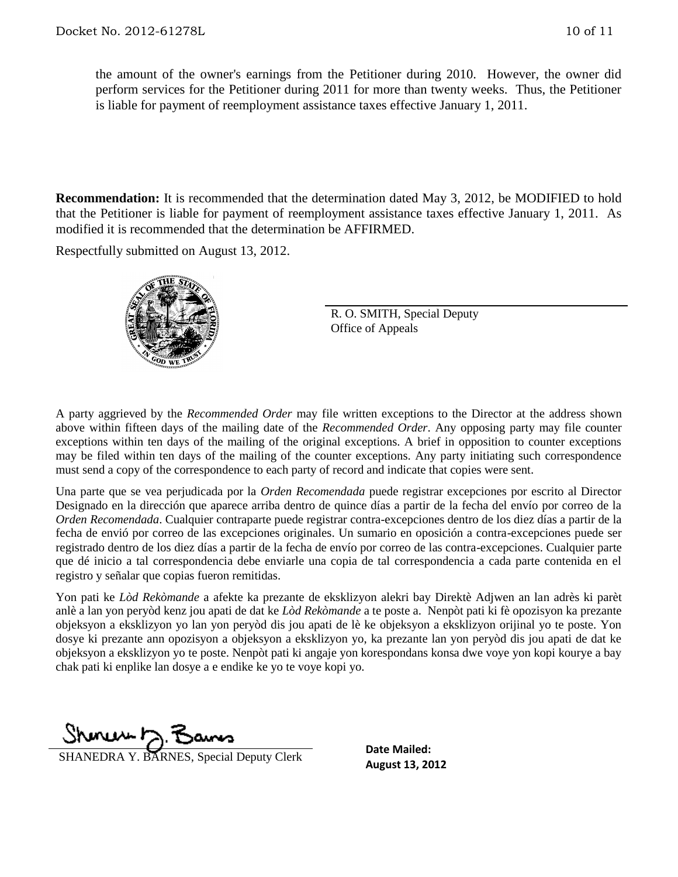the amount of the owner's earnings from the Petitioner during 2010. However, the owner did perform services for the Petitioner during 2011 for more than twenty weeks. Thus, the Petitioner is liable for payment of reemployment assistance taxes effective January 1, 2011.

**Recommendation:** It is recommended that the determination dated May 3, 2012, be MODIFIED to hold that the Petitioner is liable for payment of reemployment assistance taxes effective January 1, 2011. As modified it is recommended that the determination be AFFIRMED.

Respectfully submitted on August 13, 2012.



R. O. SMITH, Special Deputy Office of Appeals

A party aggrieved by the *Recommended Order* may file written exceptions to the Director at the address shown above within fifteen days of the mailing date of the *Recommended Order*. Any opposing party may file counter exceptions within ten days of the mailing of the original exceptions. A brief in opposition to counter exceptions may be filed within ten days of the mailing of the counter exceptions. Any party initiating such correspondence must send a copy of the correspondence to each party of record and indicate that copies were sent.

Una parte que se vea perjudicada por la *Orden Recomendada* puede registrar excepciones por escrito al Director Designado en la dirección que aparece arriba dentro de quince días a partir de la fecha del envío por correo de la *Orden Recomendada*. Cualquier contraparte puede registrar contra-excepciones dentro de los diez días a partir de la fecha de envió por correo de las excepciones originales. Un sumario en oposición a contra-excepciones puede ser registrado dentro de los diez días a partir de la fecha de envío por correo de las contra-excepciones. Cualquier parte que dé inicio a tal correspondencia debe enviarle una copia de tal correspondencia a cada parte contenida en el registro y señalar que copias fueron remitidas.

Yon pati ke *Lòd Rekòmande* a afekte ka prezante de eksklizyon alekri bay Direktè Adjwen an lan adrès ki parèt anlè a lan yon peryòd kenz jou apati de dat ke *Lòd Rekòmande* a te poste a. Nenpòt pati ki fè opozisyon ka prezante objeksyon a eksklizyon yo lan yon peryòd dis jou apati de lè ke objeksyon a eksklizyon orijinal yo te poste. Yon dosye ki prezante ann opozisyon a objeksyon a eksklizyon yo, ka prezante lan yon peryòd dis jou apati de dat ke objeksyon a eksklizyon yo te poste. Nenpòt pati ki angaje yon korespondans konsa dwe voye yon kopi kourye a bay chak pati ki enplike lan dosye a e endike ke yo te voye kopi yo.

**Shurling** 7. **Baumes**<br>SHANEDRA Y. BARNES, Special Deputy Clerk **Date Mailed:**<br>August 13, 2012

**Date Mailed:**